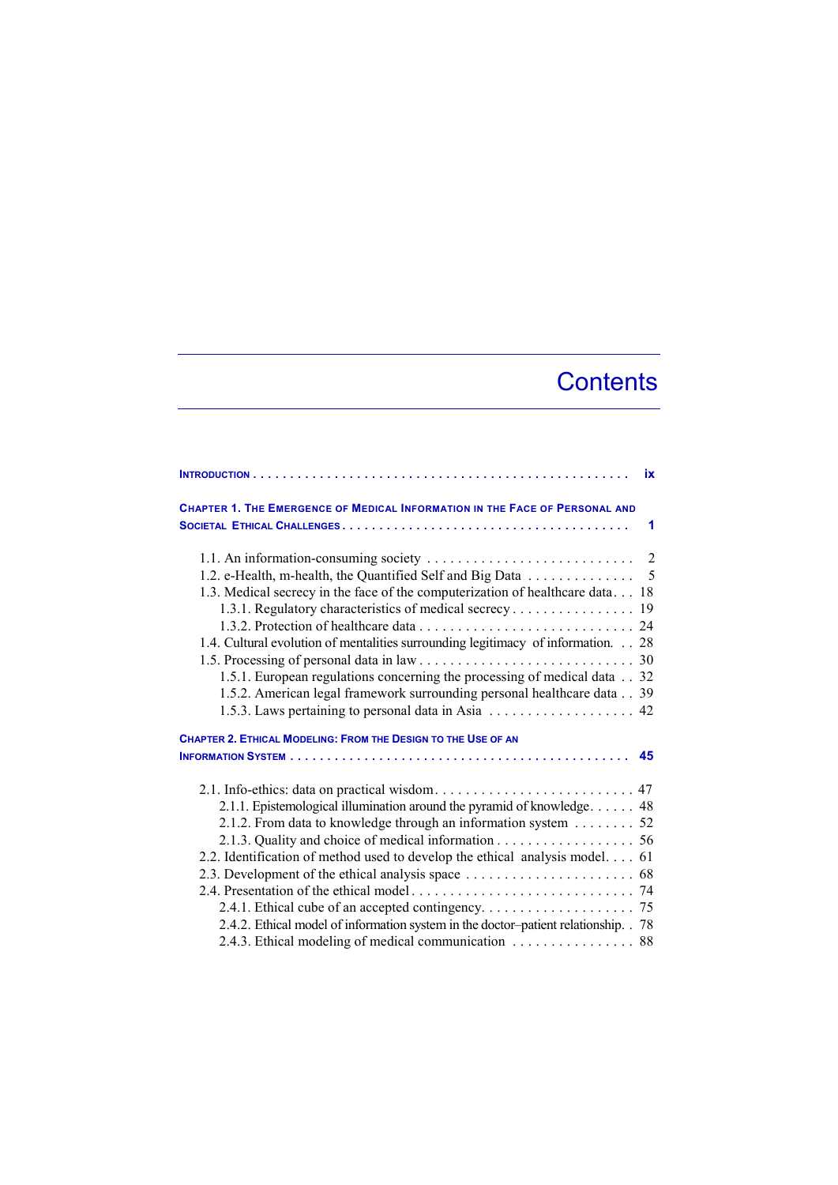## **Contents**

|                                                                                                                                                                                                                                                 | ix |  |  |  |  |  |  |  |  |  |  |  |
|-------------------------------------------------------------------------------------------------------------------------------------------------------------------------------------------------------------------------------------------------|----|--|--|--|--|--|--|--|--|--|--|--|
| <b>CHAPTER 1. THE EMERGENCE OF MEDICAL INFORMATION IN THE FACE OF PERSONAL AND</b>                                                                                                                                                              |    |  |  |  |  |  |  |  |  |  |  |  |
|                                                                                                                                                                                                                                                 | 1  |  |  |  |  |  |  |  |  |  |  |  |
| 1.2. e-Health, m-health, the Quantified Self and Big Data 5<br>1.3. Medical secrecy in the face of the computerization of healthcare data 18<br>1.4. Cultural evolution of mentalities surrounding legitimacy of information. 28                |    |  |  |  |  |  |  |  |  |  |  |  |
| 1.5.1. European regulations concerning the processing of medical data 32<br>1.5.2. American legal framework surrounding personal healthcare data 39<br>1.5.3. Laws pertaining to personal data in Asia $\dots \dots \dots \dots \dots \dots$ 42 |    |  |  |  |  |  |  |  |  |  |  |  |
| CHAPTER 2. ETHICAL MODELING: FROM THE DESIGN TO THE USE OF AN                                                                                                                                                                                   |    |  |  |  |  |  |  |  |  |  |  |  |
|                                                                                                                                                                                                                                                 |    |  |  |  |  |  |  |  |  |  |  |  |
|                                                                                                                                                                                                                                                 |    |  |  |  |  |  |  |  |  |  |  |  |
| 2.1.1. Epistemological illumination around the pyramid of knowledge 48                                                                                                                                                                          |    |  |  |  |  |  |  |  |  |  |  |  |
| 2.1.2. From data to knowledge through an information system 52                                                                                                                                                                                  |    |  |  |  |  |  |  |  |  |  |  |  |
|                                                                                                                                                                                                                                                 |    |  |  |  |  |  |  |  |  |  |  |  |
| 2.2. Identification of method used to develop the ethical analysis model. 61                                                                                                                                                                    |    |  |  |  |  |  |  |  |  |  |  |  |
|                                                                                                                                                                                                                                                 |    |  |  |  |  |  |  |  |  |  |  |  |
|                                                                                                                                                                                                                                                 |    |  |  |  |  |  |  |  |  |  |  |  |
|                                                                                                                                                                                                                                                 |    |  |  |  |  |  |  |  |  |  |  |  |
| 2.4.2. Ethical model of information system in the doctor-patient relationship. . 78                                                                                                                                                             |    |  |  |  |  |  |  |  |  |  |  |  |
| 2.4.3. Ethical modeling of medical communication 88                                                                                                                                                                                             |    |  |  |  |  |  |  |  |  |  |  |  |